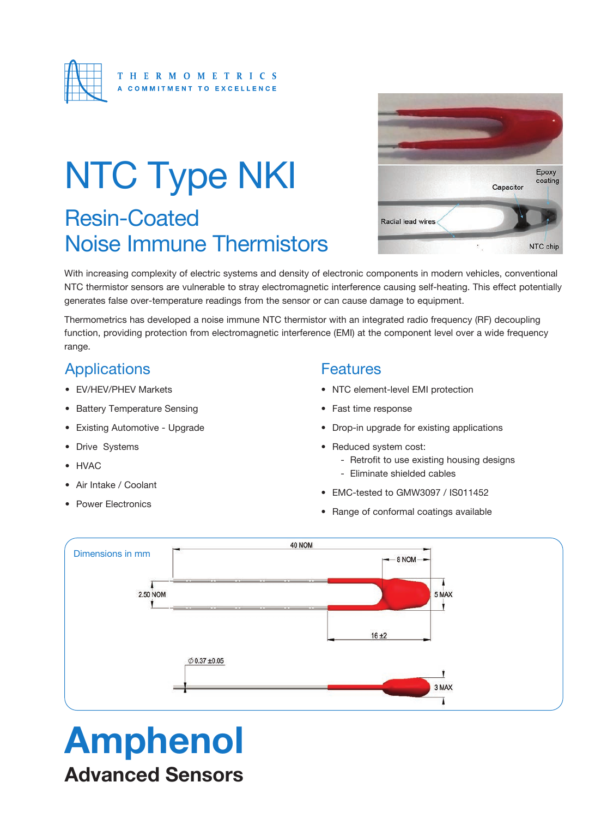

# Resin-Coated Noise Immune Thermistors NTC Type NKI



With increasing complexity of electric systems and density of electronic components in modern vehicles, conventional NTC thermistor sensors are vulnerable to stray electromagnetic interference causing self-heating. This effect potentially generates false over-temperature readings from the sensor or can cause damage to equipment.

Thermometrics has developed a noise immune NTC thermistor with an integrated radio frequency (RF) decoupling function, providing protection from electromagnetic interference (EMI) at the component level over a wide frequency range.

## **Applications**

- EV/HEV/PHEV Markets
- Battery Temperature Sensing
- Existing Automotive Upgrade
- Drive Systems
- HVAC
- Air Intake / Coolant
- Power Electronics

### **Features**

- NTC element-level EMI protection
- Fast time response
- Drop-in upgrade for existing applications
- Reduced system cost:
	- Retrofit to use existing housing designs
	- Eliminate shielded cables
- EMC-tested to GMW3097 / IS011452
- Range of conformal coatings available



# Amphenol

Advanced Sensors